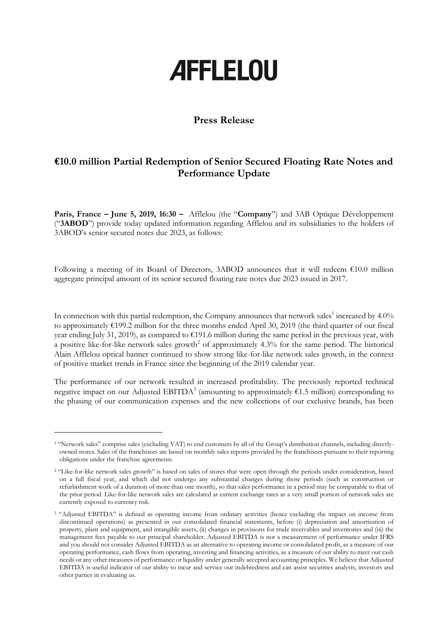# **AFFLELOU**

## **Press Release**

## **€10.0 million Partial Redemption of Senior Secured Floating Rate Notes and Performance Update**

**Paris, France – June 5, 2019, 16:30 –** Afflelou (the "**Company**") and 3AB Optique Développement ("**3ABOD**") provide today updated information regarding Afflelou and its subsidiaries to the holders of 3ABOD's senior secured notes due 2023, as follows:

Following a meeting of its Board of Directors, 3ABOD announces that it will redeem  $\epsilon$ 10.0 million aggregate principal amount of its senior secured floating rate notes due 2023 issued in 2017.

In connection with this partial redemption, the Company announces that network sales<sup>1</sup> increased by 4.0% to approximately  $\epsilon$ 199.2 million for the three months ended April 30, 2019 (the third quarter of our fiscal year ending July 31, 2019), as compared to  $\epsilon$ 191.6 million during the same period in the previous year, with a positive like-for-like network sales growth<sup>2</sup> of approximately 4.3% for the same period. The historical Alain Afflelou optical banner continued to show strong like-for-like network sales growth, in the context of positive market trends in France since the beginning of the 2019 calendar year.

The performance of our network resulted in increased profitability. The previously reported technical negative impact on our Adjusted EBITDA<sup>3</sup> (amounting to approximately  $\epsilon$ 1.5 million) corresponding to the phasing of our communication expenses and the new collections of our exclusive brands, has been

-

<sup>1</sup> "Network sales" comprise sales (excluding VAT) to end customers by all of the Group's distribution channels, including directlyowned stores. Sales of the franchisees are based on monthly sales reports provided by the franchisees pursuant to their reporting obligations under the franchise agreements.

<sup>&</sup>lt;sup>2</sup> "Like-for-like network sales growth" is based on sales of stores that were open through the periods under consideration, based on a full fiscal year, and which did not undergo any substantial changes during those periods (such as construction or refurbishment work of a duration of more than one month), so that sales performance in a period may be comparable to that of the prior period. Like-for-like network sales are calculated at current exchange rates as a very small portion of network sales are currently exposed to currency risk.

<sup>&</sup>lt;sup>3</sup> "Adjusted EBITDA" is defined as operating income from ordinary activities (hence excluding the impact on income from discontinued operations) as presented in our consolidated financial statements, before (i) depreciation and amortization of property, plant and equipment, and intangible assets, (ii) changes in provisions for trade receivables and inventories and (iii) the management fees payable to our principal shareholder. Adjusted EBITDA is not a measurement of performance under IFRS and you should not consider Adjusted EBITDA as an alternative to operating income or consolidated profit, as a measure of our operating performance, cash flows from operating, investing and financing activities, as a measure of our ability to meet our cash needs or any other measures of performance or liquidity under generally accepted accounting principles. We believe that Adjusted EBITDA is useful indicator of our ability to incur and service our indebtedness and can assist securities analysts, investors and other parties in evaluating us.